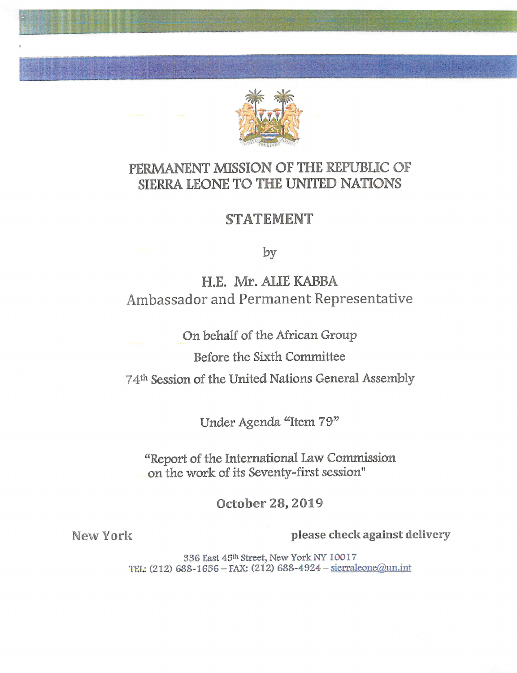

# PERMANENT MISSION OF THE REPUBLIC OP SIERRA LEONE TO THE UNITED NATIONS

## STATEMENT

by

H.E. Mr.ALIEKABBA Ambassador and Permanent Representative

On behalf of the African Group

Before the Sixth Committee

74<sup>th</sup> Session of the United Nations General Assembly

Under Agenda "Item 79"

"Report of the International Law Commission on the work of its Seventy-first session"

October 28,2019

hk

I **I I I I I I I I I I I I I I I** 

New York **please check against delivery** 

336 East 45th Street, New York NY 10017 TEL:  $(212) 688 - 1656 - FAX: (212) 688 - 4924 - *sierraleone*(a)$ un.int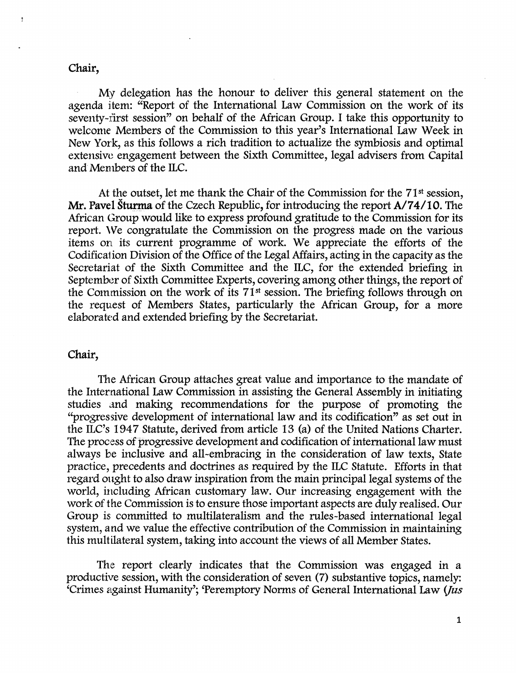#### chair,

My delegation has the honour to deliver this general statement on the agenda item: "Report of the International Law Commission on the work of its seventy-first session" on behalf of the African Group. I take this opportunity to welcome Members of the Commission to this year's International Law Week in New York, as this follows a rich tradition to actualize the symbiosis and optimal extensive engagement between the Sixth Committee, legal advisers from Capital and Members of the ILC.

At the outset, let me thank the Chair of the Commission for the  $71<sup>st</sup>$  session, Mr. Pavel Sturma of the Czech Republic, for introducing the report A/74/10. The African Group would like to express profound gratitude to the Commission for its report. We congratulate the Commission on the progress made on the various items on its current programme of work. We appreciate the efforts of the Codificalion Division of the Office of the Legal Affairs, acting in the capacity as the Secretariat of the Sixth Committee and the ILC, for the extended briefing in September of Sixth Committee Experts, covering among other things, the report of the Commission on the work of its  $71<sup>st</sup>$  session. The briefing follows through on the request of Members States, particularly the African Group, for a more elaborated and extended briefing by the Secretariat.

#### Chair,

The African Group attaches great value and importance to the mandate of the International Law Commission in assisting the General Assembly in initiating studies and making recommendations for the purpose of promoting the "progressive development of international law and its codification" as set out in the ILC's 1947 Statute, derived from article 13 (a) of the United Nations Charter. The process of progressive development and codification of international law must always be inclusive and all-embracing in the consideration of law texts. State practice, precedents and doctrines as required by the ILC Statute. Efforts in that regard ought to also draw inspiration from the main principal legal systems of the world, including African customary law. Our increasing engagement with the work of the Commission is to ensure those important aspects are duly realised. Our Group is committed to multilateralism and the rules-based international legal system, and we value the effective contribution of the Commission in maintaining this multilateral system, taking into account the views of all Member States.

The report clearly indicates that the Commission was engaged in a productive session, with the consideration of seven (7) substantive topics, namely: 'Crimes against Humanity'; 'Peremptory Norms of General International Law (Jus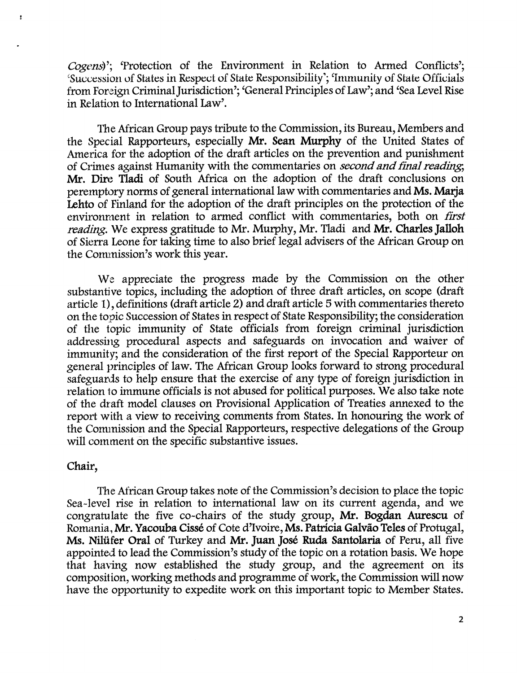Cogens)'; 'Protection of the Environment in Relation to Armed Conflicts'; 'Succession of States in Respect of State Responsibility'; 'Immunity of State Officials' from Foreign Criminal Jurisdiction'; 'General Principles of Law'; and 'Sea Level Rise in Relation to International Law'.

The African Group pays tribute to the Commission, its Bureau, Members and the Special Rapporteurs, especially Mr. Sean Murphy of the United States of America for the adoption of the draft articles on the prevention and punishment of Crimes against Humanity with the commentaries on second and final reading; Mr. Dire Tladi of South Africa on the adoption of the draft conclusions on peremptory norms of general international law with commentaries and Ms. Marja Lehto of Finland for the adoption of the draft principles on the protection of the environment in relation to armed conflict with commentaries, both on first reading. We express gratitude to Mr. Murphy, Mr. Tladi and Mr. Charles Jalloh of Sierra Leone for taking time to also brief legal advisers of the African Group on the Commission's work this year.

We appreciate the progress made by the Commission on the other substantive topics, including the adoption of three draft articles, on scope (draft article 1), definitions (draft article 2) and draft article 5 with commentaries thereto on the topic Succession of States in respect of State Responsibility; the consideration of the topic immunity of State officials from foreign criminal jurisdiction addressing procedural aspects and safeguards on invocation and waiver of immunity; and the consideration of the first report of the Special Rapporteur on general principles of law. The African Group looks forward to strong procedural safeguards to help ensure that the exercise of any type of foreign jurisdiction in relation to immune officials is not abused for political purposes. We also take note of the draft model clauses on Provisional Apphcation of Treaties annexed to the report with a view to receiving comments from States. In honouring the work of the Commission and the Special Rapporteurs, respective delegations of the Group will comment on the specific substantive issues.

### Chair,

 $\bullet$ 

The African Group takes note of the Commission's decision to place the topic Sea-level rise in relation to international law on its current agenda, and we congratulate the five co-chairs of the study group, Mr. Bogdan Aurescu of Romania, Mr. Yacouba Cisse of Cote d'lvoire, Ms. Patricia Galvao Teles of Protugal, Ms. Nilüfer Oral of Turkey and Mr. Juan José Ruda Santolaria of Peru, all five appointed to lead the Commission's study of the topic on a rotation basis. We hope that having now established the study group, and the agreement on its composition, working methods and programme of work, the Commission will now have the opportunity to expedite work on this important topic to Member States.